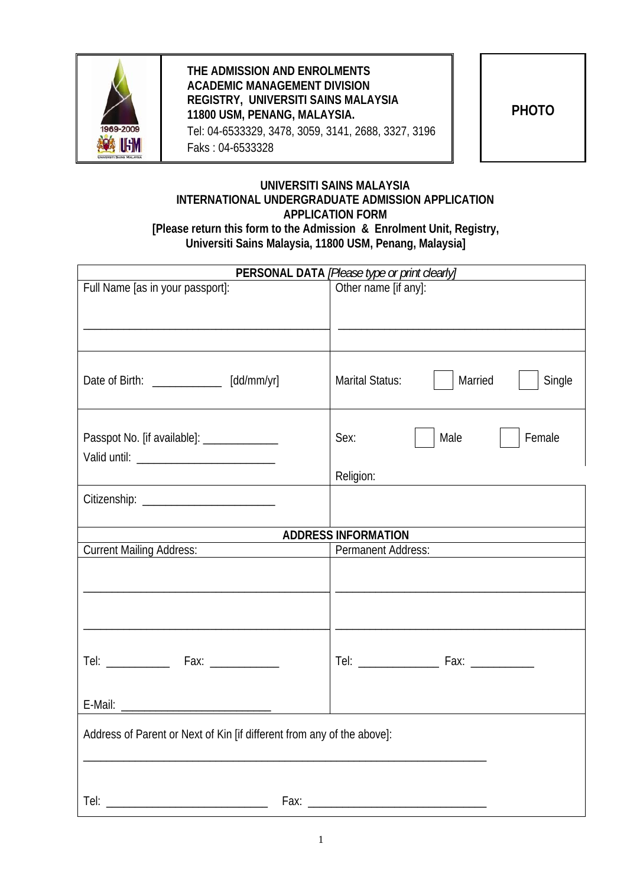

## **THE ADMISSION AND ENROLMENTS ACADEMIC MANAGEMENT DIVISION REGISTRY, UNIVERSITI SAINS MALAYSIA 11800 USM, PENANG, MALAYSIA.**  Tel: 04-6533329, 3478, 3059, 3141, 2688, 3327, 3196 Faks : 04-6533328

**PHOTO** 

## **UNIVERSITI SAINS MALAYSIA INTERNATIONAL UNDERGRADUATE ADMISSION APPLICATION APPLICATION FORM [Please return this form to the Admission & Enrolment Unit, Registry, Universiti Sains Malaysia, 11800 USM, Penang, Malaysia]**

| <b>PERSONAL DATA</b> [Please type or print clearly]                    |                                      |  |  |  |
|------------------------------------------------------------------------|--------------------------------------|--|--|--|
| Full Name [as in your passport]:                                       | Other name [if any]:                 |  |  |  |
| Date of Birth: _____________ [dd/mm/yr]                                | Married<br>Single<br>Marital Status: |  |  |  |
| Passpot No. [if available]: _____________                              | Male<br>Female<br>Sex:<br>Religion:  |  |  |  |
|                                                                        |                                      |  |  |  |
|                                                                        | <b>ADDRESS INFORMATION</b>           |  |  |  |
| <b>Current Mailing Address:</b>                                        | <b>Permanent Address:</b>            |  |  |  |
|                                                                        |                                      |  |  |  |
|                                                                        |                                      |  |  |  |
|                                                                        |                                      |  |  |  |
| Address of Parent or Next of Kin [if different from any of the above]: |                                      |  |  |  |
| Tel:<br>Fax:                                                           |                                      |  |  |  |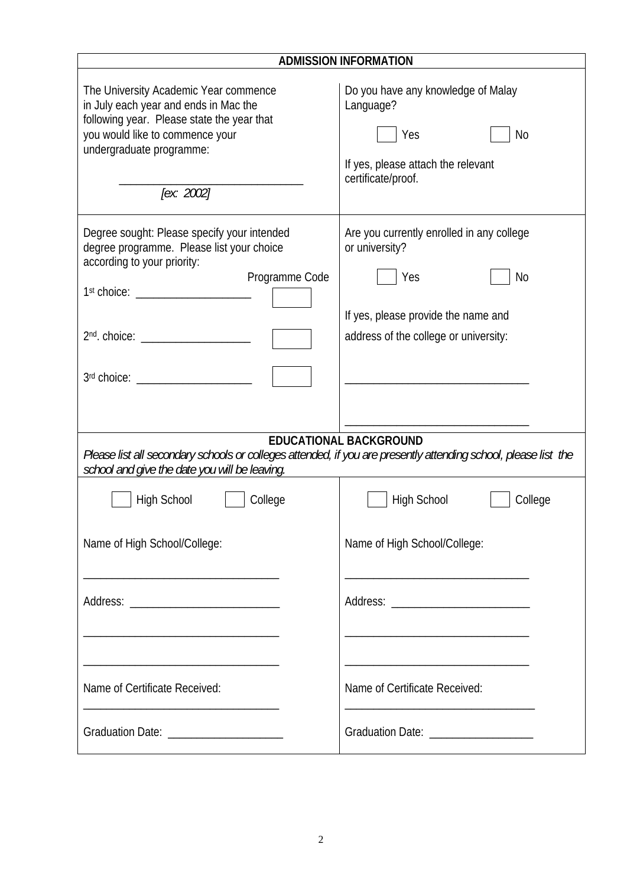| <b>ADMISSION INFORMATION</b>                                                                                                                                                                                  |                                                                                                                                                          |  |  |  |
|---------------------------------------------------------------------------------------------------------------------------------------------------------------------------------------------------------------|----------------------------------------------------------------------------------------------------------------------------------------------------------|--|--|--|
| The University Academic Year commence<br>in July each year and ends in Mac the<br>following year. Please state the year that<br>you would like to commence your<br>undergraduate programme:<br>[ex: 2002]     | Do you have any knowledge of Malay<br>Language?<br>Yes<br>No<br>If yes, please attach the relevant<br>certificate/proof.                                 |  |  |  |
| Degree sought: Please specify your intended<br>degree programme. Please list your choice<br>according to your priority:<br>Programme Code<br>1 <sup>st</sup> choice:<br>3rd choice: _________________________ | Are you currently enrolled in any college<br>or university?<br>Yes<br>No<br>If yes, please provide the name and<br>address of the college or university: |  |  |  |
| <b>EDUCATIONAL BACKGROUND</b><br>Please list all secondary schools or colleges attended, if you are presently attending school, please list the<br>school and give the date you will be leaving.              |                                                                                                                                                          |  |  |  |
| High School<br>College                                                                                                                                                                                        | <b>High School</b><br>College                                                                                                                            |  |  |  |
| Name of High School/College:                                                                                                                                                                                  | Name of High School/College:                                                                                                                             |  |  |  |
|                                                                                                                                                                                                               |                                                                                                                                                          |  |  |  |
| Name of Certificate Received:                                                                                                                                                                                 | Name of Certificate Received:                                                                                                                            |  |  |  |
| Graduation Date: _______________________                                                                                                                                                                      | Graduation Date: ____________________                                                                                                                    |  |  |  |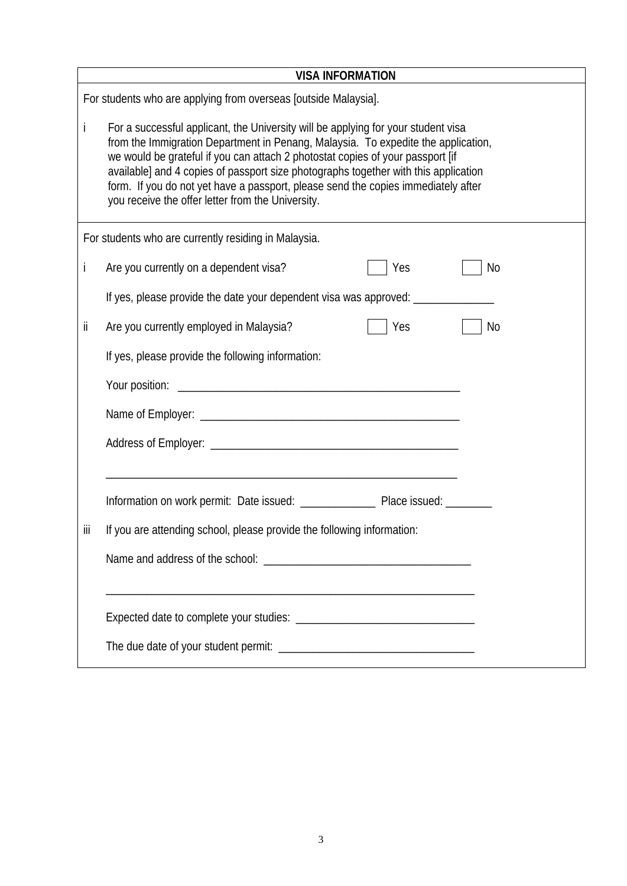|                                                      | <b>VISA INFORMATION</b>                                                                                                                                                                                                                                                                                                                                                                                                                                                                   |  |  |  |  |  |
|------------------------------------------------------|-------------------------------------------------------------------------------------------------------------------------------------------------------------------------------------------------------------------------------------------------------------------------------------------------------------------------------------------------------------------------------------------------------------------------------------------------------------------------------------------|--|--|--|--|--|
|                                                      | For students who are applying from overseas [outside Malaysia].                                                                                                                                                                                                                                                                                                                                                                                                                           |  |  |  |  |  |
| İ                                                    | For a successful applicant, the University will be applying for your student visa<br>from the Immigration Department in Penang, Malaysia. To expedite the application,<br>we would be grateful if you can attach 2 photostat copies of your passport [if<br>available] and 4 copies of passport size photographs together with this application<br>form. If you do not yet have a passport, please send the copies immediately after<br>you receive the offer letter from the University. |  |  |  |  |  |
| For students who are currently residing in Malaysia. |                                                                                                                                                                                                                                                                                                                                                                                                                                                                                           |  |  |  |  |  |
| İ                                                    | Are you currently on a dependent visa?<br>Yes<br>No                                                                                                                                                                                                                                                                                                                                                                                                                                       |  |  |  |  |  |
|                                                      | If yes, please provide the date your dependent visa was approved: ___________                                                                                                                                                                                                                                                                                                                                                                                                             |  |  |  |  |  |
| jj.                                                  | Are you currently employed in Malaysia?<br>Yes<br>No                                                                                                                                                                                                                                                                                                                                                                                                                                      |  |  |  |  |  |
|                                                      | If yes, please provide the following information:                                                                                                                                                                                                                                                                                                                                                                                                                                         |  |  |  |  |  |
|                                                      |                                                                                                                                                                                                                                                                                                                                                                                                                                                                                           |  |  |  |  |  |
|                                                      |                                                                                                                                                                                                                                                                                                                                                                                                                                                                                           |  |  |  |  |  |
|                                                      |                                                                                                                                                                                                                                                                                                                                                                                                                                                                                           |  |  |  |  |  |
|                                                      |                                                                                                                                                                                                                                                                                                                                                                                                                                                                                           |  |  |  |  |  |
|                                                      |                                                                                                                                                                                                                                                                                                                                                                                                                                                                                           |  |  |  |  |  |
| iii                                                  | If you are attending school, please provide the following information:                                                                                                                                                                                                                                                                                                                                                                                                                    |  |  |  |  |  |
|                                                      |                                                                                                                                                                                                                                                                                                                                                                                                                                                                                           |  |  |  |  |  |
|                                                      |                                                                                                                                                                                                                                                                                                                                                                                                                                                                                           |  |  |  |  |  |
|                                                      |                                                                                                                                                                                                                                                                                                                                                                                                                                                                                           |  |  |  |  |  |
|                                                      |                                                                                                                                                                                                                                                                                                                                                                                                                                                                                           |  |  |  |  |  |
|                                                      |                                                                                                                                                                                                                                                                                                                                                                                                                                                                                           |  |  |  |  |  |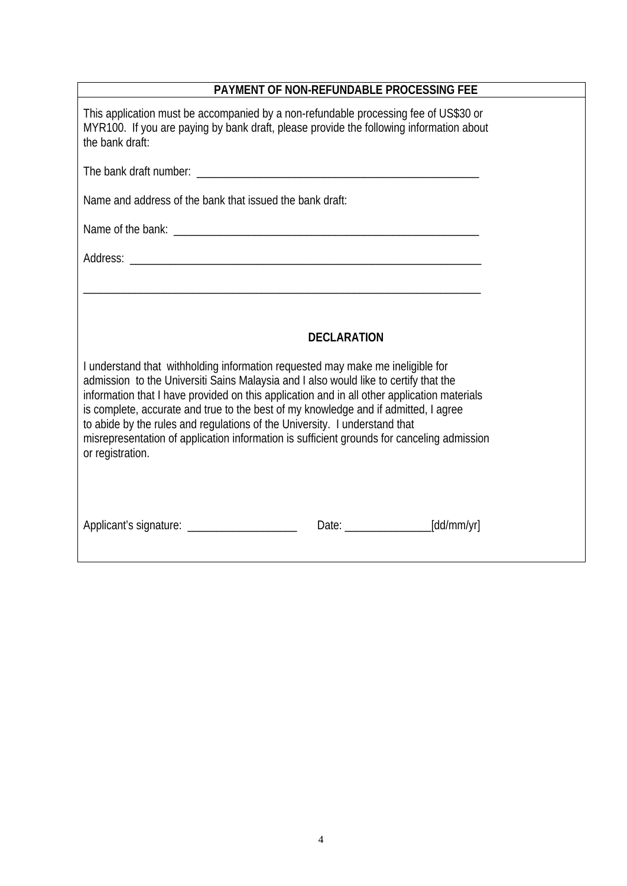| PAYMENT OF NON-REFUNDABLE PROCESSING FEE                                                                                                                                                                                                                                                                                                                                                                                                                                   |  |  |  |  |
|----------------------------------------------------------------------------------------------------------------------------------------------------------------------------------------------------------------------------------------------------------------------------------------------------------------------------------------------------------------------------------------------------------------------------------------------------------------------------|--|--|--|--|
| This application must be accompanied by a non-refundable processing fee of US\$30 or<br>MYR100. If you are paying by bank draft, please provide the following information about<br>the bank draft:                                                                                                                                                                                                                                                                         |  |  |  |  |
|                                                                                                                                                                                                                                                                                                                                                                                                                                                                            |  |  |  |  |
| Name and address of the bank that issued the bank draft:                                                                                                                                                                                                                                                                                                                                                                                                                   |  |  |  |  |
|                                                                                                                                                                                                                                                                                                                                                                                                                                                                            |  |  |  |  |
|                                                                                                                                                                                                                                                                                                                                                                                                                                                                            |  |  |  |  |
| <u> 1989 - Jan James James James James James James James James James James James James James James James James J</u><br><b>DECLARATION</b><br>I understand that withholding information requested may make me ineligible for                                                                                                                                                                                                                                               |  |  |  |  |
|                                                                                                                                                                                                                                                                                                                                                                                                                                                                            |  |  |  |  |
| admission to the Universiti Sains Malaysia and I also would like to certify that the<br>information that I have provided on this application and in all other application materials<br>is complete, accurate and true to the best of my knowledge and if admitted, I agree<br>to abide by the rules and regulations of the University. I understand that<br>misrepresentation of application information is sufficient grounds for canceling admission<br>or registration. |  |  |  |  |